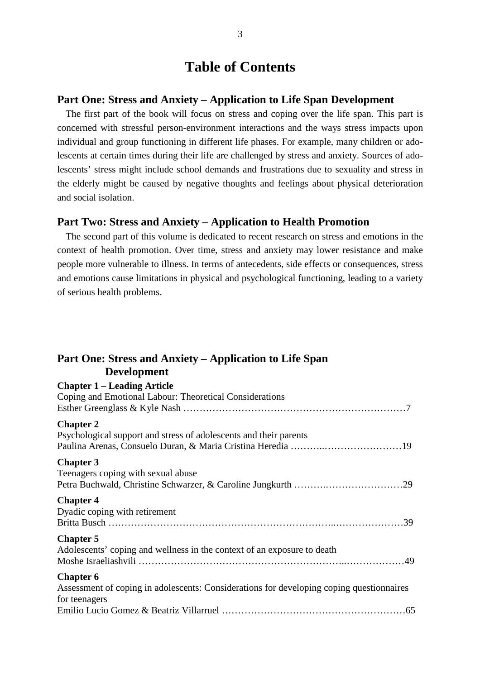## **Table of Contents**

#### **Part One: Stress and Anxiety – Application to Life Span Development**

The first part of the book will focus on stress and coping over the life span. This part is concerned with stressful person-environment interactions and the ways stress impacts upon individual and group functioning in different life phases. For example, many children or adolescents at certain times during their life are challenged by stress and anxiety. Sources of adolescents' stress might include school demands and frustrations due to sexuality and stress in the elderly might be caused by negative thoughts and feelings about physical deterioration and social isolation.

### **Part Two: Stress and Anxiety – Application to Health Promotion**

The second part of this volume is dedicated to recent research on stress and emotions in the context of health promotion. Over time, stress and anxiety may lower resistance and make people more vulnerable to illness. In terms of antecedents, side effects or consequences, stress and emotions cause limitations in physical and psychological functioning, leading to a variety of serious health problems.

### **Part One: Stress and Anxiety – Application to Life Span Development**

| <b>Chapter 1 – Leading Article</b><br>Coping and Emotional Labour: Theoretical Considerations                                 |  |
|-------------------------------------------------------------------------------------------------------------------------------|--|
| <b>Chapter 2</b><br>Psychological support and stress of adolescents and their parents                                         |  |
| <b>Chapter 3</b><br>Teenagers coping with sexual abuse                                                                        |  |
| <b>Chapter 4</b><br>Dyadic coping with retirement                                                                             |  |
| <b>Chapter 5</b><br>Adolescents' coping and wellness in the context of an exposure to death                                   |  |
| <b>Chapter 6</b><br>Assessment of coping in adolescents: Considerations for developing coping questionnaires<br>for teenagers |  |
|                                                                                                                               |  |